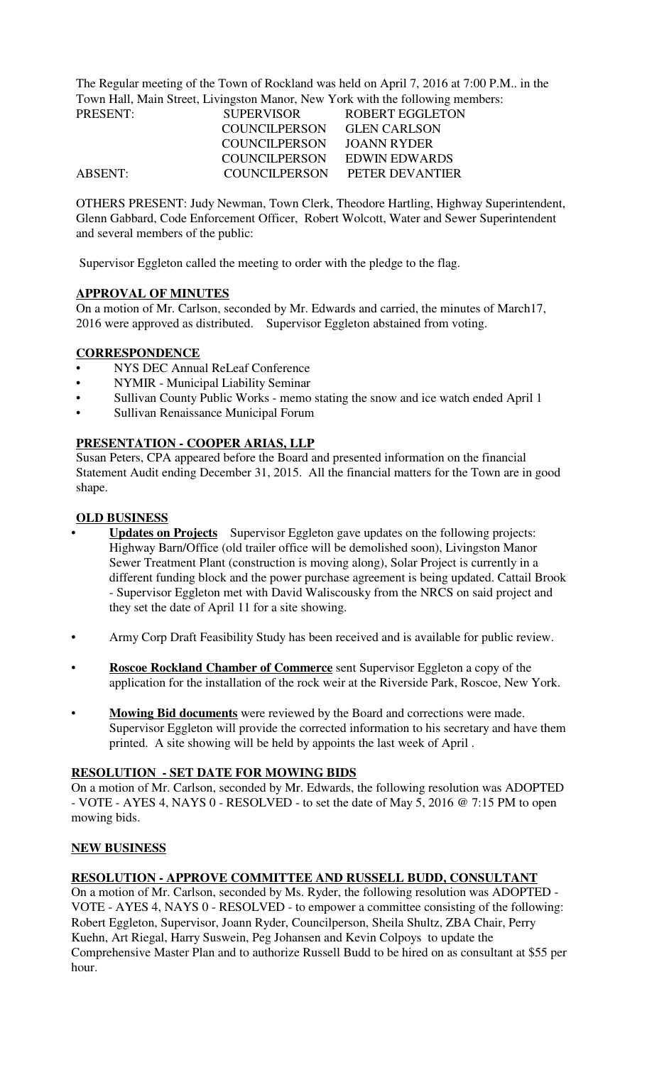The Regular meeting of the Town of Rockland was held on April 7, 2016 at 7:00 P.M.. in the Town Hall, Main Street, Livingston Manor, New York with the following members:

| PRESENT:       | <b>SUPERVISOR</b>    | ROBERT EGGLETON        |
|----------------|----------------------|------------------------|
|                | <b>COUNCILPERSON</b> | <b>GLEN CARLSON</b>    |
|                | <b>COUNCILPERSON</b> | JOANN RYDER            |
|                | COUNCIL PERSON       | EDWIN EDWARDS          |
| <b>ABSENT:</b> | COUNCILPERSON        | <b>PETER DEVANTIER</b> |

OTHERS PRESENT: Judy Newman, Town Clerk, Theodore Hartling, Highway Superintendent, Glenn Gabbard, Code Enforcement Officer, Robert Wolcott, Water and Sewer Superintendent and several members of the public:

Supervisor Eggleton called the meeting to order with the pledge to the flag.

## **APPROVAL OF MINUTES**

On a motion of Mr. Carlson, seconded by Mr. Edwards and carried, the minutes of March17, 2016 were approved as distributed. Supervisor Eggleton abstained from voting.

## **CORRESPONDENCE**

- NYS DEC Annual ReLeaf Conference
- NYMIR Municipal Liability Seminar
- Sullivan County Public Works memo stating the snow and ice watch ended April 1
- Sullivan Renaissance Municipal Forum

#### **PRESENTATION - COOPER ARIAS, LLP**

Susan Peters, CPA appeared before the Board and presented information on the financial Statement Audit ending December 31, 2015. All the financial matters for the Town are in good shape.

## **OLD BUSINESS**

- **Updates on Projects** Supervisor Eggleton gave updates on the following projects: Highway Barn/Office (old trailer office will be demolished soon), Livingston Manor Sewer Treatment Plant (construction is moving along), Solar Project is currently in a different funding block and the power purchase agreement is being updated. Cattail Brook - Supervisor Eggleton met with David Waliscousky from the NRCS on said project and they set the date of April 11 for a site showing.
- Army Corp Draft Feasibility Study has been received and is available for public review.
- **Roscoe Rockland Chamber of Commerce** sent Supervisor Eggleton a copy of the application for the installation of the rock weir at the Riverside Park, Roscoe, New York.
- **Mowing Bid documents** were reviewed by the Board and corrections were made. Supervisor Eggleton will provide the corrected information to his secretary and have them printed. A site showing will be held by appoints the last week of April .

#### **RESOLUTION - SET DATE FOR MOWING BIDS**

On a motion of Mr. Carlson, seconded by Mr. Edwards, the following resolution was ADOPTED - VOTE - AYES 4, NAYS 0 - RESOLVED - to set the date of May 5, 2016 @ 7:15 PM to open mowing bids.

#### **NEW BUSINESS**

## **RESOLUTION - APPROVE COMMITTEE AND RUSSELL BUDD, CONSULTANT**

On a motion of Mr. Carlson, seconded by Ms. Ryder, the following resolution was ADOPTED - VOTE - AYES 4, NAYS 0 - RESOLVED - to empower a committee consisting of the following: Robert Eggleton, Supervisor, Joann Ryder, Councilperson, Sheila Shultz, ZBA Chair, Perry Kuehn, Art Riegal, Harry Suswein, Peg Johansen and Kevin Colpoys to update the Comprehensive Master Plan and to authorize Russell Budd to be hired on as consultant at \$55 per hour.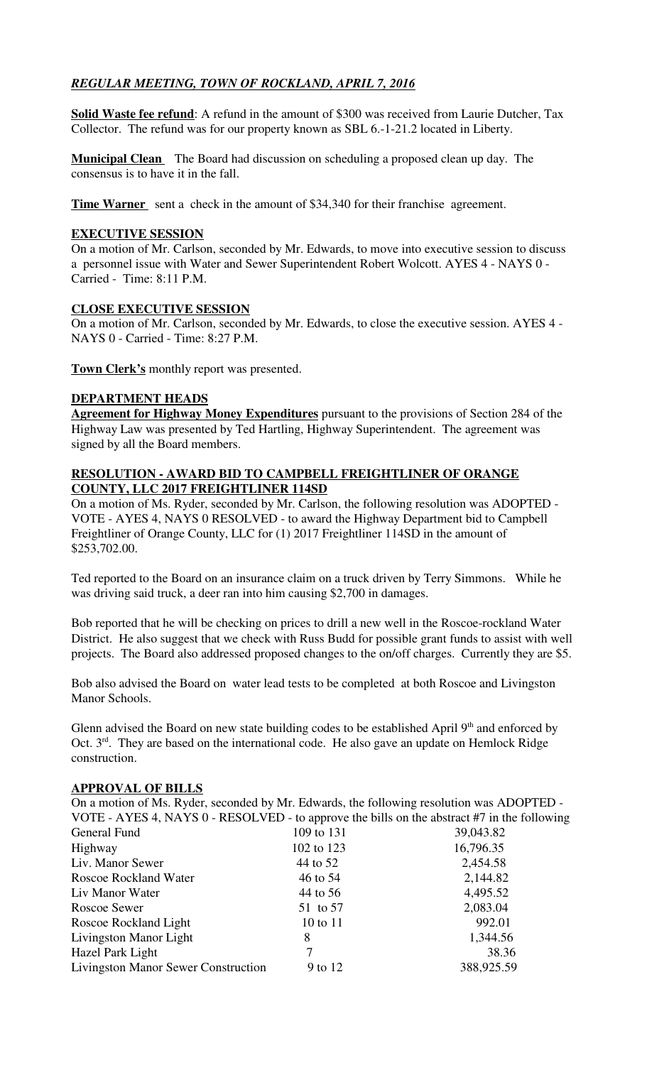# *REGULAR MEETING, TOWN OF ROCKLAND, APRIL 7, 2016*

**Solid Waste fee refund**: A refund in the amount of \$300 was received from Laurie Dutcher, Tax Collector. The refund was for our property known as SBL 6.-1-21.2 located in Liberty.

**Municipal Clean** The Board had discussion on scheduling a proposed clean up day. The consensus is to have it in the fall.

**Time Warner** sent a check in the amount of \$34,340 for their franchise agreement.

#### **EXECUTIVE SESSION**

On a motion of Mr. Carlson, seconded by Mr. Edwards, to move into executive session to discuss a personnel issue with Water and Sewer Superintendent Robert Wolcott. AYES 4 - NAYS 0 - Carried - Time: 8:11 P.M.

## **CLOSE EXECUTIVE SESSION**

On a motion of Mr. Carlson, seconded by Mr. Edwards, to close the executive session. AYES 4 - NAYS 0 - Carried - Time: 8:27 P.M.

**Town Clerk's** monthly report was presented.

## **DEPARTMENT HEADS**

**Agreement for Highway Money Expenditures** pursuant to the provisions of Section 284 of the Highway Law was presented by Ted Hartling, Highway Superintendent. The agreement was signed by all the Board members.

#### **RESOLUTION - AWARD BID TO CAMPBELL FREIGHTLINER OF ORANGE COUNTY, LLC 2017 FREIGHTLINER 114SD**

On a motion of Ms. Ryder, seconded by Mr. Carlson, the following resolution was ADOPTED - VOTE - AYES 4, NAYS 0 RESOLVED - to award the Highway Department bid to Campbell Freightliner of Orange County, LLC for (1) 2017 Freightliner 114SD in the amount of \$253,702.00.

Ted reported to the Board on an insurance claim on a truck driven by Terry Simmons. While he was driving said truck, a deer ran into him causing \$2,700 in damages.

Bob reported that he will be checking on prices to drill a new well in the Roscoe-rockland Water District. He also suggest that we check with Russ Budd for possible grant funds to assist with well projects. The Board also addressed proposed changes to the on/off charges. Currently they are \$5.

Bob also advised the Board on water lead tests to be completed at both Roscoe and Livingston Manor Schools.

Glenn advised the Board on new state building codes to be established April  $9<sup>th</sup>$  and enforced by Oct.  $3<sup>rd</sup>$ . They are based on the international code. He also gave an update on Hemlock Ridge construction.

#### **APPROVAL OF BILLS**

| On a motion of Ms. Ryder, seconded by Mr. Edwards, the following resolution was ADOPTED -   |            |            |
|---------------------------------------------------------------------------------------------|------------|------------|
| VOTE - AYES 4, NAYS 0 - RESOLVED - to approve the bills on the abstract #7 in the following |            |            |
| General Fund                                                                                | 109 to 131 | 39,043.82  |
| Highway                                                                                     | 102 to 123 | 16,796.35  |
| Liv. Manor Sewer                                                                            | 44 to 52   | 2,454.58   |
| <b>Roscoe Rockland Water</b>                                                                | 46 to 54   | 2,144.82   |
| Liv Manor Water                                                                             | 44 to 56   | 4,495.52   |
| Roscoe Sewer                                                                                | 51 to 57   | 2,083.04   |
| Roscoe Rockland Light                                                                       | 10 to 11   | 992.01     |
| Livingston Manor Light                                                                      | 8          | 1,344.56   |
| Hazel Park Light                                                                            |            | 38.36      |
| <b>Livingston Manor Sewer Construction</b>                                                  | 9 to 12    | 388,925.59 |